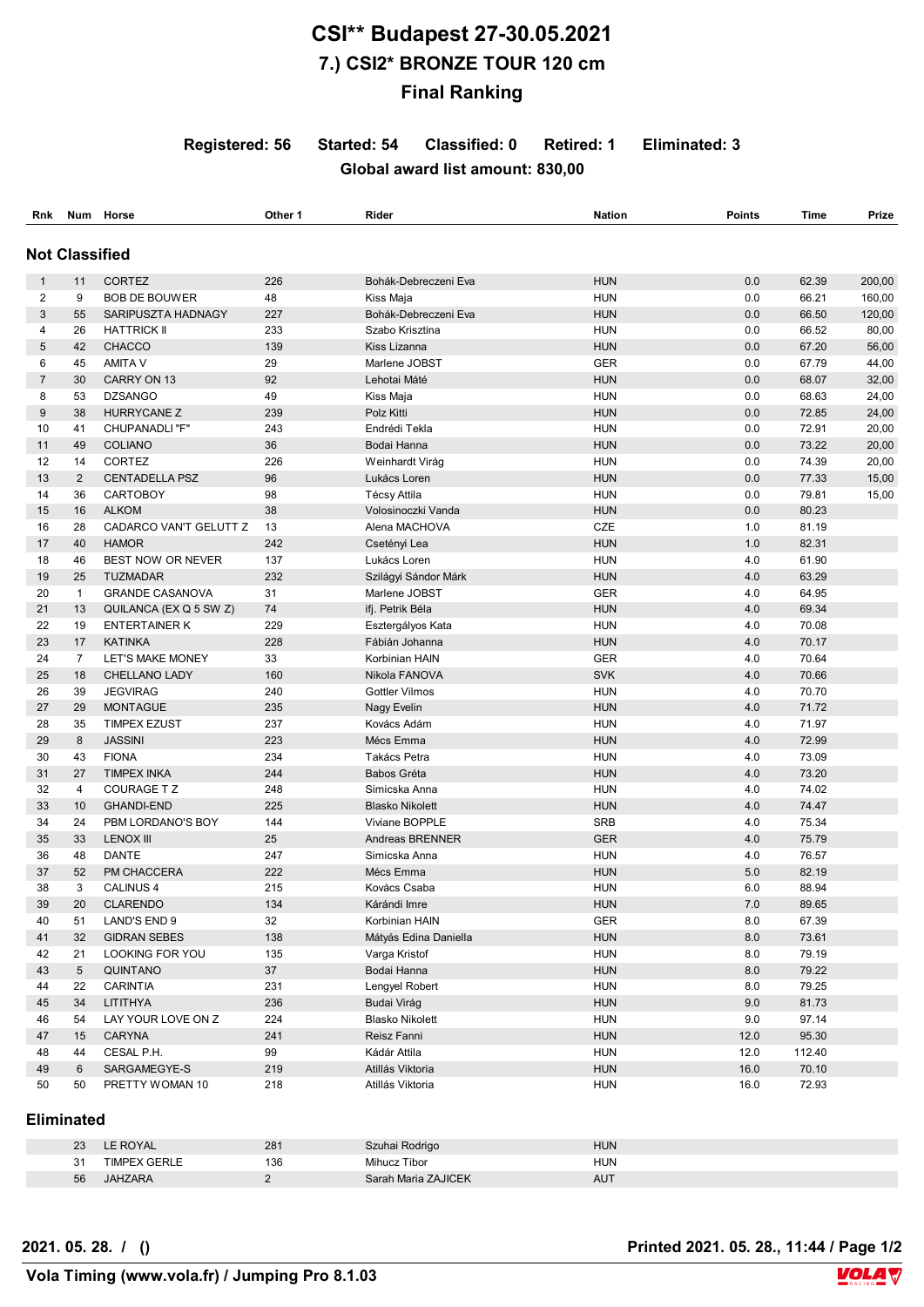## **CSI\*\* Budapest 27-30.05.2021 7.) CSI2\* BRONZE TOUR 120 cm Final Ranking**

**Registered: 56 Started: 54 Classified: 0 Retired: 1 Eliminated: 3 Global award list amount: 830,00**

| Rnk            | Num                   | Horse                           | Other 1    | Rider                                   | <b>Nation</b>            | <b>Points</b> | Time           | Prize  |
|----------------|-----------------------|---------------------------------|------------|-----------------------------------------|--------------------------|---------------|----------------|--------|
|                | <b>Not Classified</b> |                                 |            |                                         |                          |               |                |        |
| $\mathbf{1}$   | 11                    | <b>CORTEZ</b>                   | 226        | Bohák-Debreczeni Eva                    | <b>HUN</b>               | 0.0           | 62.39          | 200,00 |
| 2              | 9                     | <b>BOB DE BOUWER</b>            | 48         | Kiss Maja                               | <b>HUN</b>               | 0.0           | 66.21          | 160,00 |
| 3              | 55                    | SARIPUSZTA HADNAGY              | 227        | Bohák-Debreczeni Eva                    | <b>HUN</b>               | 0.0           | 66.50          | 120,00 |
| 4              | 26                    | <b>HATTRICK II</b>              | 233        | Szabo Krisztina                         | <b>HUN</b>               | 0.0           | 66.52          | 80,00  |
| 5              | 42                    | <b>CHACCO</b>                   | 139        | Kiss Lizanna                            | <b>HUN</b>               | 0.0           | 67.20          | 56,00  |
| 6              | 45                    | <b>AMITA V</b>                  | 29         | Marlene JOBST                           | <b>GER</b>               | 0.0           | 67.79          | 44,00  |
| $\overline{7}$ | 30                    | CARRY ON 13                     | 92         | Lehotai Máté                            | <b>HUN</b>               | 0.0           | 68.07          | 32,00  |
| 8              | 53                    | <b>DZSANGO</b>                  | 49         | Kiss Maja                               | <b>HUN</b>               | 0.0           | 68.63          | 24,00  |
| 9              | 38                    | <b>HURRYCANE Z</b>              | 239        | Polz Kitti                              | <b>HUN</b>               | 0.0           | 72.85          | 24,00  |
| 10             | 41                    | CHUPANADLI "F"                  | 243        | Endrédi Tekla                           | <b>HUN</b>               | 0.0           | 72.91          | 20,00  |
| 11             | 49                    | <b>COLIANO</b>                  | 36         | Bodai Hanna                             | <b>HUN</b>               | 0.0           | 73.22          | 20,00  |
| 12             | 14                    | <b>CORTEZ</b>                   | 226        | Weinhardt Virág                         | <b>HUN</b>               | 0.0           | 74.39          | 20,00  |
| 13             | $\overline{2}$        | <b>CENTADELLA PSZ</b>           | 96         | Lukács Loren                            | <b>HUN</b>               | 0.0           | 77.33          | 15,00  |
| 14             | 36                    | <b>CARTOBOY</b>                 | 98         | Técsy Attila                            | <b>HUN</b>               | 0.0           | 79.81          | 15,00  |
| 15             | 16                    | <b>ALKOM</b>                    | 38         | Volosinoczki Vanda                      | <b>HUN</b>               | 0.0           | 80.23          |        |
| 16             | 28                    | CADARCO VAN'T GELUTT Z          | 13         | Alena MACHOVA                           | CZE                      | 1.0           | 81.19          |        |
| 17             | 40                    | <b>HAMOR</b>                    | 242        | Csetényi Lea                            | <b>HUN</b>               | 1.0           | 82.31          |        |
| 18             | 46                    | <b>BEST NOW OR NEVER</b>        | 137        | Lukács Loren                            | <b>HUN</b>               | 4.0           | 61.90          |        |
| 19             | 25                    | <b>TUZMADAR</b>                 | 232        | Szilágyi Sándor Márk                    | <b>HUN</b>               | 4.0           | 63.29          |        |
| 20             | $\mathbf{1}$          | <b>GRANDE CASANOVA</b>          | 31         | Marlene JOBST                           | <b>GER</b>               | 4.0           | 64.95          |        |
| 21             | 13                    | QUILANCA (EX Q 5 SW Z)          | 74         | ifj. Petrik Béla                        | <b>HUN</b>               | 4.0           | 69.34          |        |
| 22             | 19                    | <b>ENTERTAINER K</b>            | 229        | Esztergályos Kata                       | <b>HUN</b>               | 4.0           | 70.08          |        |
| 23             | 17                    | <b>KATINKA</b>                  | 228        | Fábián Johanna                          | <b>HUN</b>               | 4.0           | 70.17          |        |
| 24             | $\overline{7}$        | LET'S MAKE MONEY                | 33         | Korbinian HAIN                          | <b>GER</b>               | 4.0           | 70.64          |        |
| 25             | 18                    | <b>CHELLANO LADY</b>            | 160        | Nikola FANOVA                           | <b>SVK</b>               | 4.0           | 70.66          |        |
| 26             | 39                    | <b>JEGVIRAG</b>                 | 240        | <b>Gottler Vilmos</b>                   | <b>HUN</b>               | 4.0           | 70.70          |        |
| 27             | 29                    | <b>MONTAGUE</b>                 | 235        | Nagy Evelin                             | <b>HUN</b>               | 4.0           | 71.72          |        |
| 28             | 35                    | <b>TIMPEX EZUST</b>             | 237        | Kovács Adám                             | <b>HUN</b>               | 4.0           | 71.97          |        |
| 29             | 8                     | <b>JASSINI</b>                  | 223        | Mécs Emma                               | <b>HUN</b>               | 4.0           | 72.99          |        |
| 30             | 43                    | <b>FIONA</b>                    | 234        | Takács Petra                            | <b>HUN</b>               | 4.0           | 73.09          |        |
| 31             | 27                    | <b>TIMPEX INKA</b>              | 244        | Babos Gréta                             | <b>HUN</b>               | 4.0           | 73.20          |        |
| 32             | 4                     | COURAGE TZ                      | 248        | Simicska Anna                           | <b>HUN</b>               | 4.0           | 74.02          |        |
| 33             | 10                    | <b>GHANDI-END</b>               | 225        | <b>Blasko Nikolett</b>                  | <b>HUN</b>               | 4.0           | 74.47          |        |
| 34             | 24                    | PBM LORDANO'S BOY               | 144        | Viviane BOPPLE                          | <b>SRB</b>               | 4.0           | 75.34          |        |
|                |                       |                                 |            | Andreas BRENNER                         |                          |               |                |        |
| 35             | 33                    | <b>LENOX III</b>                | 25         |                                         | <b>GER</b><br><b>HUN</b> | 4.0<br>4.0    | 75.79          |        |
| 36<br>37       | 48<br>52              | DANTE                           | 247<br>222 | Simicska Anna<br>Mécs Emma              | <b>HUN</b>               | 5.0           | 76.57          |        |
| 38             | 3                     | PM CHACCERA<br><b>CALINUS 4</b> | 215        | Kovács Csaba                            | <b>HUN</b>               | 6.0           | 82.19<br>88.94 |        |
|                |                       |                                 |            |                                         |                          |               |                |        |
| 39             | 20                    | <b>CLARENDO</b>                 | 134        | Kárándi Imre                            | <b>HUN</b>               | 7.0           | 89.65          |        |
| 40             | 51<br>32              | LAND'S END 9                    | 32<br>138  | Korbinian HAIN<br>Mátyás Edina Daniella | <b>GER</b>               | 8.0           | 67.39          |        |
| 41             |                       | <b>GIDRAN SEBES</b>             |            |                                         | <b>HUN</b>               | 8.0           | 73.61          |        |
| 42             | 21                    | LOOKING FOR YOU                 | 135        | Varga Kristof<br>Bodai Hanna            | <b>HUN</b>               | 8.0           | 79.19          |        |
| 43             | 5                     | QUINTANO                        | 37         |                                         | <b>HUN</b>               | 8.0           | 79.22          |        |
| 44             | 22                    | <b>CARINTIA</b>                 | 231        | Lengyel Robert                          | <b>HUN</b>               | 8.0           | 79.25          |        |
| 45             | 34                    | LITITHYA                        | 236        | Budai Virág                             | <b>HUN</b>               | 9.0           | 81.73          |        |
| 46             | 54                    | LAY YOUR LOVE ON Z              | 224        | <b>Blasko Nikolett</b>                  | <b>HUN</b>               | 9.0           | 97.14          |        |
| 47             | 15                    | <b>CARYNA</b>                   | 241        | Reisz Fanni                             | <b>HUN</b>               | 12.0          | 95.30          |        |
| 48             | 44                    | CESAL P.H.                      | 99         | Kádár Attila                            | <b>HUN</b>               | 12.0          | 112.40         |        |
| 49             | 6                     | SARGAMEGYE-S                    | 219        | Atillás Viktoria                        | <b>HUN</b>               | 16.0          | 70.10          |        |
| 50             | 50                    | PRETTY WOMAN 10                 | 218        | Atillás Viktoria                        | <b>HUN</b>               | 16.0          | 72.93          |        |
|                | Eliminated            |                                 |            |                                         |                          |               |                |        |

| 23 | <b>LE ROYAL</b> | 281 | Szuhai Rodrigo      | <b>HUN</b> |
|----|-----------------|-----|---------------------|------------|
| 31 | TIMPEX GERLE    | 136 | Mihucz Tibor        | <b>HUN</b> |
| 56 | JAHZARA         |     | Sarah Maria ZAJICEK | <b>AUT</b> |

**2021. 05. 28. / () Printed 2021. 05. 28., 11:44 / Page 1/2**